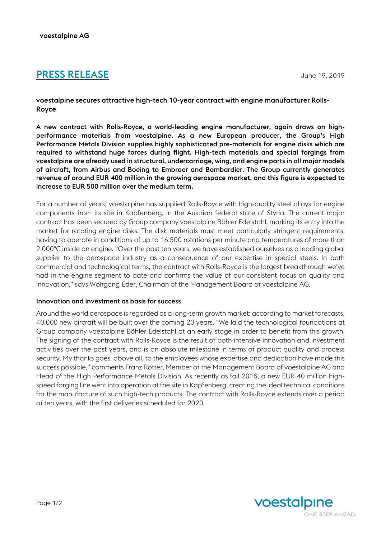# **PRESS RELEASE** June 19, 2019

voestalpine secures attractive high-tech 10-year contract with engine manufacturer Rolls-Royce

A new contract with Rolls-Royce, a world-leading engine manufacturer, again draws on highperformance materials from voestalpine. As a new European producer, the Group's High Performance Metals Division supplies highly sophisticated pre-materials for engine disks which are required to withstand huge forces during flight. High-tech materials and special forgings from voestalpine are already used in structural, undercarriage, wing, and engine parts in all major models of aircraft, from Airbus and Boeing to Embraer and Bombardier. The Group currently generates revenue of around EUR 400 million in the growing aerospace market, and this figure is expected to increase to EUR 500 million over the medium term.

For a number of years, voestalpine has supplied Rolls-Royce with high-quality steel alloys for engine components from its site in Kapfenberg, in the Austrian federal state of Styria. The current major contract has been secured by Group company voestalpine Böhler Edelstahl, marking its entry into the market for rotating engine disks. The disk materials must meet particularly stringent requirements, having to operate in conditions of up to 16,500 rotations per minute and temperatures of more than 2,000°C inside an engine. "Over the past ten years, we have established ourselves as a leading global supplier to the aerospace industry as a consequence of our expertise in special steels. In both commercial and technological terms, the contract with Rolls-Royce is the largest breakthrough we've had in the engine segment to date and confirms the value of our consistent focus on quality and innovation," says Wolfgang Eder, Chairman of the Management Board of voestalpine AG.

# Innovation and investment as basis for success

Around the world aerospace is regarded as a long-term growth market: according to market forecasts, 40,000 new aircraft will be built over the coming 20 years. "We laid the technological foundations at Group company voestalpine Böhler Edelstahl at an early stage in order to benefit from this growth. The signing of the contract with Rolls-Royce is the result of both intensive innovation and investment activities over the past years, and is an absolute milestone in terms of product quality and process security. My thanks goes, above all, to the employees whose expertise and dedication have made this success possible," comments Franz Rotter, Member of the Management Board of voestalpine AG and Head of the High Performance Metals Division. As recently as fall 2018, a new EUR 40 million highspeed forging line went into operation at the site in Kapfenberg, creating the ideal technical conditions for the manufacture of such high-tech products. The contract with Rolls-Royce extends over a period of ten years, with the first deliveries scheduled for 2020.